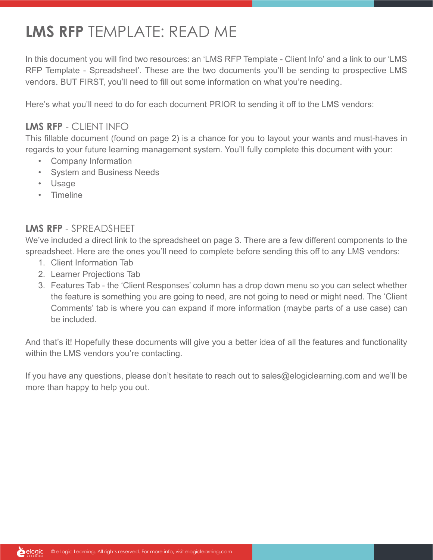## **LMS RFP** TEMPLATE: READ ME

In this document you will find two resources: an 'LMS RFP Template - Client Info' and a link to our 'LMS RFP Template - Spreadsheet'. These are the two documents you'll be sending to prospective LMS vendors. BUT FIRST, you'll need to fill out some information on what you're needing.

Here's what you'll need to do for each document PRIOR to sending it off to the LMS vendors:

#### **LMS RFP** - CLIENT INFO

This fillable document (found on page 2) is a chance for you to layout your wants and must-haves in regards to your future learning management system. You'll fully complete this document with your:

- Company Information
- System and Business Needs
- Usage
- Timeline

#### **LMS RFP** - SPREADSHEET

We've included a direct link to the spreadsheet on page 3. There are a few different components to the spreadsheet. Here are the ones you'll need to complete before sending this off to any LMS vendors:

- 1. Client Information Tab
- 2. Learner Projections Tab
- 3. Features Tab the 'Client Responses' column has a drop down menu so you can select whether the feature is something you are going to need, are not going to need or might need. The 'Client Comments' tab is where you can expand if more information (maybe parts of a use case) can be included.

And that's it! Hopefully these documents will give you a better idea of all the features and functionality within the LMS vendors you're contacting.

If you have any questions, please don't hesitate to reach out to [sales@elogiclearning.com](mailto:sales%40elogiclearning.com?subject=Question%20about%20LMS%20RFP%20Template) and we'll be more than happy to help you out.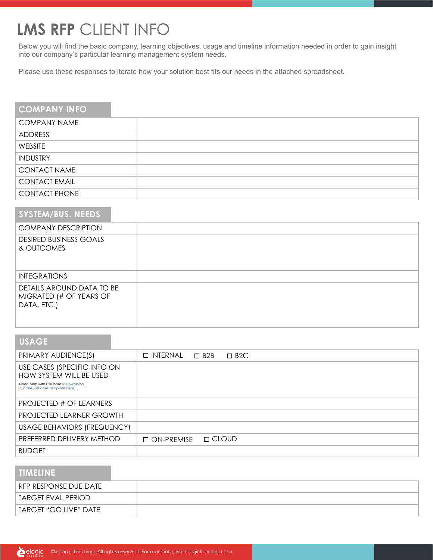### **LMS RFP** CLIENT INFO

Below you will find the basic company, learning objectives, usage and timeline information needed in order to gain insight into our company's particular learning management system needs.

Please use these responses to iterate how your solution best fits our needs in the attached spreadsheet.

| <b>COMPANY INFO</b>  |  |
|----------------------|--|
| <b>COMPANY NAME</b>  |  |
| ADDRESS              |  |
| WEBSITE              |  |
| <b>INDUSTRY</b>      |  |
| <b>CONTACT NAME</b>  |  |
| <b>CONTACT EMAIL</b> |  |
| <b>CONTACT PHONE</b> |  |

| <b>SYSTEM/BUS. NEEDS</b>                                            |  |
|---------------------------------------------------------------------|--|
| <b>COMPANY DESCRIPTION</b>                                          |  |
| <b>DESIRED BUSINESS GOALS</b><br>& OUTCOMES                         |  |
| <b>INTEGRATIONS</b>                                                 |  |
| DETAILS AROUND DATA TO BE<br>MIGRATED (# OF YEARS OF<br>DATA, ETC.) |  |

| <b>USAGE</b>                                                                                                                     |                    |                        |            |
|----------------------------------------------------------------------------------------------------------------------------------|--------------------|------------------------|------------|
| PRIMARY AUDIENCE(S)                                                                                                              | $\square$ INTERNAL | $\Box$ B <sub>2B</sub> | $\Box$ B2C |
| USE CASES (SPECIFIC INFO ON<br>HOW SYSTEM WILL BE USED<br>Need help with use cases? Download<br>our free use case template here. |                    |                        |            |
| PROJECTED # OF LEARNERS                                                                                                          |                    |                        |            |
| <b>PROJECTED LEARNER GROWTH</b>                                                                                                  |                    |                        |            |
| USAGE BEHAVIORS (FREQUENCY)                                                                                                      |                    |                        |            |
| PREFERRED DELIVERY METHOD                                                                                                        | $\Box$ ON-PREMISE  | □ CLOUD                |            |
| <b>BUDGET</b>                                                                                                                    |                    |                        |            |

| <b>TIMELINE</b>       |  |
|-----------------------|--|
| RFP RESPONSE DUE DATE |  |
| TARGET EVAL PERIOD    |  |
| TARGET "GO LIVE" DATE |  |